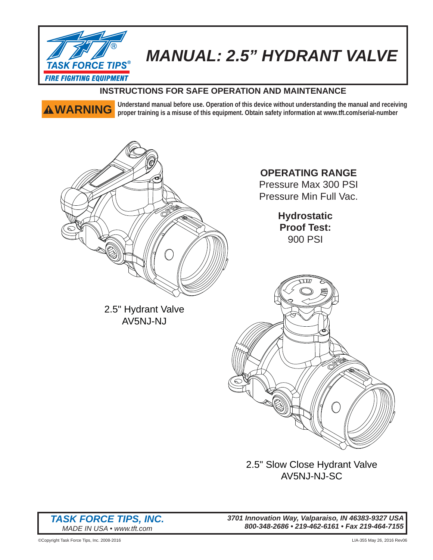

# *MANUAL: 2.5" HYDRANT VALVE*

## **INSTRUCTIONS FOR SAFE OPERATION AND MAINTENANCE**

**WARNING** Understand manual before use. Operation of this device without understanding the manual and receiving <br> **AWARNING** propor training is a misuse of this equipment. Obtain safety information at www.fft com/sorial nu **proper training is a misuse of this equipment. Obtain safety information at www.tft.com/serial-number**



2.5" Hydrant Valve AV5NJ-NJ

**OPERATING RANGE**

Pressure Max 300 PSI Pressure Min Full Vac.

> **Hydrostatic Proof Test:** 900 PSI



2.5" Slow Close Hydrant Valve AV5NJ-NJ-SC

*TASK FORCE TIPS, INC. MADE IN USA • www.tft.com*

*3701 Innovation Way, Valparaiso, IN 46383-9327 USA 800-348-2686 • 219-462-6161 • Fax 219-464-7155*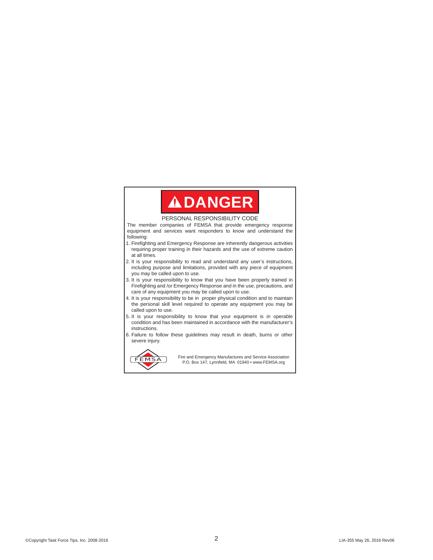## **ADANGER**

### PERSONAL RESPONSIBILITY CODE

The member companies of FEMSA that provide emergency response equipment and services want responders to know and understand the following:

- 1. Firefighting and Emergency Response are inherently dangerous activities requiring proper training in their hazards and the use of extreme caution at all times.
- 2. It is your responsibility to read and understand any user's instructions, including purpose and limitations, provided with any piece of equipment you may be called upon to use.
- 3. It is your responsibility to know that you have been properly trained in Firefighting and /or Emergency Response and in the use, precautions, and care of any equipment you may be called upon to use.
- 4. It is your responsibility to be in proper physical condition and to maintain the personal skill level required to operate any equipment you may be called upon to use.
- 5. It is your responsibility to know that your equipment is in operable condition and has been maintained in accordance with the manufacturer's instructions.
- 6. Failure to follow these guidelines may result in death, burns or other severe injury.



FIEMSA Fire and Emergency Manufactures and Service Association<br>P.O. Box 147, Lynnfield, MA 01940 • www.FEMSA.org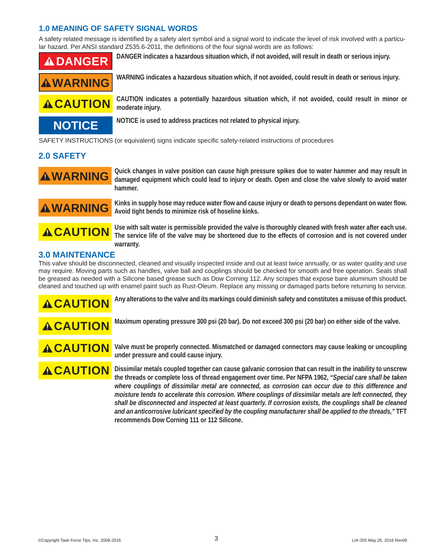### **1.0 MEANING OF SAFETY SIGNAL WORDS**

A safety related message is identified by a safety alert symbol and a signal word to indicate the level of risk involved with a particular hazard. Per ANSI standard Z535.6-2011, the definitions of the four signal words are as follows:





**A CAUTION** CAUTION indicates a potentially hazardous situation which, if not avoided, could result in minor or **moderate injury.**

**NOTICE NOTICE is used to address practices not related to physical injury.**

SAFETY INSTRUCTIONS (or equivalent) signs indicate specific safety-related instructions of procedures

### **2.0 SAFETY**

**WARNING** Quick changes in valve position can cause high pressure spikes due to water hammer and may result in<br>WARNING damaged equipment which could lead to injury or death. Open and close the valve slowly to avoid water **hammer.**



**WARNING** Kinks in supply hose may reduce water flow and cause injury or death to persons dependant on water flow. **Avoid tight bends to minimize risk of hoseline kinks.**



**CAUTION** Use with salt water is permissible provided the valve is thoroughly cleaned with fresh water after each use.<br>CAUTION The service life of the valve may be shortened due to the effects of corrosion and is not cover **warranty.**

### **3.0 MAINTENANCE**

This valve should be disconnected, cleaned and visually inspected inside and out at least twice annually, or as water quality and use may require. Moving parts such as handles, valve ball and couplings should be checked for smooth and free operation. Seals shall be greased as needed with a Silicone based grease such as Dow Corning 112. Any scrapes that expose bare aluminum should be cleaned and touched up with enamel paint such as Rust-Oleum. Replace any missing or damaged parts before returning to service.



**A CAUTION** Any alterations to the valve and its markings could diminish safety and constitutes a misuse of this product.



**A CAUTION** Maximum operating pressure 300 psi (20 bar). Do not exceed 300 psi (20 bar) on either side of the valve.

**ACAUTION** Valve must be properly connected. Mismatched or damaged connectors may cause leaking or uncoupling **under pressure and could cause injury.**

**A CAUTION** Dissimilar metals coupled together can cause galvanic corrosion that can result in the inability to unscrew **the threads or complete loss of thread engagement over time. Per NFPA 1962,** *"Special care shall be taken where couplings of dissimilar metal are connected, as corrosion can occur due to this difference and moisture tends to accelerate this corrosion. Where couplings of dissimilar metals are left connected, they shall be disconnected and inspected at least quarterly. If corrosion exists, the couplings shall be cleaned and an anticorrosive lubricant specifi ed by the coupling manufacturer shall be applied to the threads,"* **TFT recommends Dow Corning 111 or 112 Silicone.**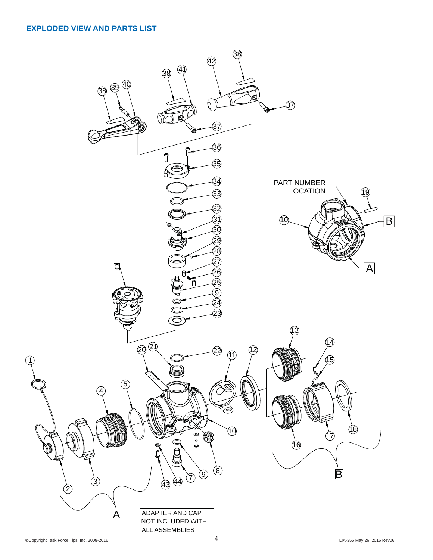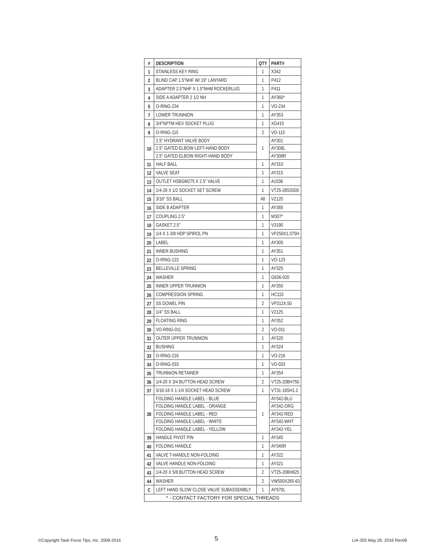| #                                       | <b>DESCRIPTION</b>                                          | QTY | PART#                  |  |  |
|-----------------------------------------|-------------------------------------------------------------|-----|------------------------|--|--|
| 1                                       | STAINLESS KEY RING                                          | 1   | X342                   |  |  |
| 2                                       | BLIND CAP 1.5"NHF W/ 19" LANYARD                            | 1   | P412                   |  |  |
| 3                                       | ADAPTER 2.5"NHF X 1.5"NHM ROCKERLUG                         | 1   | P411                   |  |  |
| 4                                       | SIDE A ADAPTER 2 1/2 NH                                     | 1   | AY360*                 |  |  |
| 5                                       | 0-RING-234                                                  | 1   | VO-234                 |  |  |
| 7                                       | LOWER TRUNNION                                              | 1   | AY353                  |  |  |
| 8                                       | 3/4"NPTM HEX SOCKET PLUG                                    | 1   | XG410                  |  |  |
| 9                                       | 0-RING-115                                                  | 2   | VO-115                 |  |  |
| 10                                      | 2.5" HYDRANT VALVE BODY                                     | 1   | AY301                  |  |  |
|                                         | 2.5" GATED ELBOW LEFT-HAND BODY                             |     | AY308L                 |  |  |
|                                         | 2.5" GATED ELBOW RIGHT-HAND BODY                            |     | AY308R                 |  |  |
| 11                                      | <b>HALF BALL</b>                                            | 1   | AY310                  |  |  |
| 12                                      | <b>VALVE SEAT</b>                                           | 1   | AY315                  |  |  |
| 13                                      | OUTLET HSBGM275 X 2.5" VALVE                                | 1   | A1036                  |  |  |
| 14                                      | 1/4-28 X 1/2 SOCKET SET SCREW                               | 1   | VT25-28SS500           |  |  |
| 15                                      | 3/16" SS BALL                                               | 48  | V2120                  |  |  |
| 16                                      | SIDE B ADAPTER                                              | 1   | AY365                  |  |  |
| 17                                      | COUPLING 2.5"                                               | 1   | M307*                  |  |  |
| 18                                      | GASKET 2.5"                                                 | 1   | V3190                  |  |  |
| 19                                      | 1/4 X 1-3/8 HDP SPIROL PN                                   | 1   | VP250X1.375H           |  |  |
| 20                                      | LABEL                                                       | 1   | AY305                  |  |  |
| 21                                      | <b>INNER BUSHING</b>                                        | 1   | AY351                  |  |  |
| 22                                      | 0-RING-123                                                  | 1   | $VO-123$               |  |  |
| 23                                      | <b>BELLEVILLE SPRING</b>                                    | 1   | AY325                  |  |  |
| 24                                      | WASHER                                                      | 1   | G636-020               |  |  |
| 25                                      | INNER UPPER TRUNNION                                        | 1   | AY350                  |  |  |
| 26                                      | <b>COMPRESSION SPRING</b>                                   | 1   | <b>HC115</b>           |  |  |
| 27                                      | <b>SS DOWEL PIN</b>                                         | 2   | VP312X.50              |  |  |
| 28                                      | 1/4" SS BALL                                                | 1   | V2125                  |  |  |
| 29                                      | <b>FLOATING RING</b>                                        | 1   | AY352                  |  |  |
| 30                                      | <b>VO-RING-011</b>                                          | 2   | VO-011                 |  |  |
|                                         | OUTER UPPER TRUNNION                                        | 1   | AY320                  |  |  |
| 31                                      | <b>BUSHING</b>                                              | 1   |                        |  |  |
| 32                                      |                                                             |     | AY324                  |  |  |
| 33                                      | 0-RING-216                                                  | 1   | $VO-216$               |  |  |
| 34                                      | O-RING-033                                                  | 1   | VO-033                 |  |  |
| 35                                      | TRUNNION RETAINER                                           | 1   | AY354                  |  |  |
| 36                                      | 1/4-20 X 3/4 BUTTON HEAD SCREW                              | 2   | VT25-20BH750           |  |  |
| 37                                      | 5/16-18 X 1-1/4 SOCKET HEAD SCREW                           | 1   | VT31-18SH1.2           |  |  |
|                                         | FOLDING HANDLE LABEL - BLUE                                 | 1   | AY342-BLU              |  |  |
|                                         | FOLDING HANDLE LABEL - ORANGE<br>FOLDING HANDLE LABEL - RED |     | AY342-ORG<br>AY342-RED |  |  |
| 38                                      | FOLDING HANDLE LABEL - WHITE                                |     | AY342-WHT              |  |  |
|                                         | FOLDING HANDLE LABEL - YELLOW                               |     | AY342-YEL              |  |  |
| 39                                      | HANDLE PIVOT PIN                                            | 1   | AY345                  |  |  |
| 40                                      | <b>FOLDING HANDLE</b>                                       | 1   | AY340R                 |  |  |
| 41                                      | VALVE T-HANDLE NON-FOLDING                                  | 1   | AY322                  |  |  |
| 42                                      | VALVE HANDLE NON-FOLDING                                    | 1   | AY321                  |  |  |
| 43                                      | 1/4-20 X 5/8 BUTTON HEAD SCREW                              | 2   | VT25-20BH625           |  |  |
| 44                                      | WASHER                                                      | 2   | VW500X265-63           |  |  |
|                                         | LEFT HAND SLOW CLOSE VALVE SUBASSEMBLY                      | 1   |                        |  |  |
|                                         | AY970L<br>С                                                 |     |                        |  |  |
| * - CONTACT FACTORY FOR SPECIAL THREADS |                                                             |     |                        |  |  |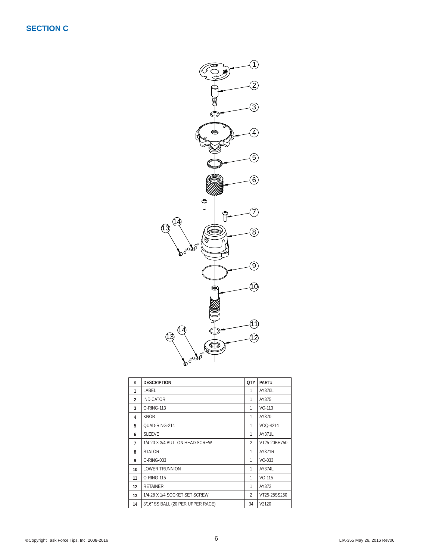

| #              | <b>DESCRIPTION</b>                | <b>OTY</b>               | PART#        |
|----------------|-----------------------------------|--------------------------|--------------|
| 1              | LABEL                             | 1                        | AY370L       |
| $\mathfrak{p}$ | <b>INDICATOR</b>                  | 1                        | AY375        |
| 3              | O-RING-113                        | 1                        | $VO-113$     |
| 4              | <b>KNOB</b>                       | 1                        | AY370        |
| 5              | QUAD-RING-214                     | 1                        | VOQ-4214     |
| 6              | <b>SLEEVE</b>                     | 1                        | AY371L       |
| 7              | 1/4-20 X 3/4 BUTTON HEAD SCREW    | $\overline{\phantom{a}}$ | VT25-20BH750 |
| 8              | <b>STATOR</b>                     | 1                        | AY371R       |
| 9              | O-RING-033                        | 1                        | $VO-033$     |
| 10             | <b>LOWER TRUNNION</b>             | 1                        | AY374L       |
| 11             | O-RING-115                        | 1                        | $VO-115$     |
| 12             | <b>RETAINER</b>                   | 1                        | AY372        |
| 13             | 1/4-28 X 1/4 SOCKET SET SCREW     | $\overline{\phantom{a}}$ | VT25-28SS250 |
| 14             | 3/16" SS BALL (20 PER UPPER RACE) | 34                       | V2120        |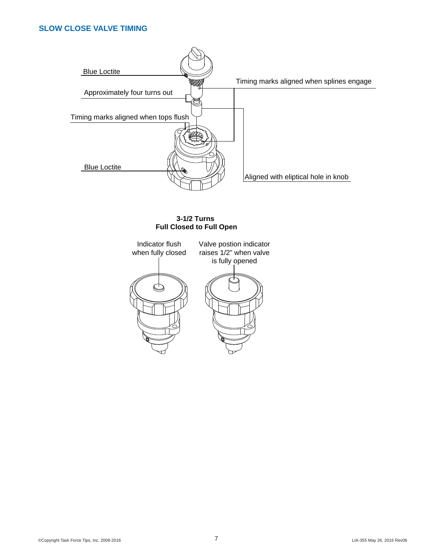### **SLOW CLOSE VALVE TIMING**



### **3-1/2 Turns Full Closed to Full Open**